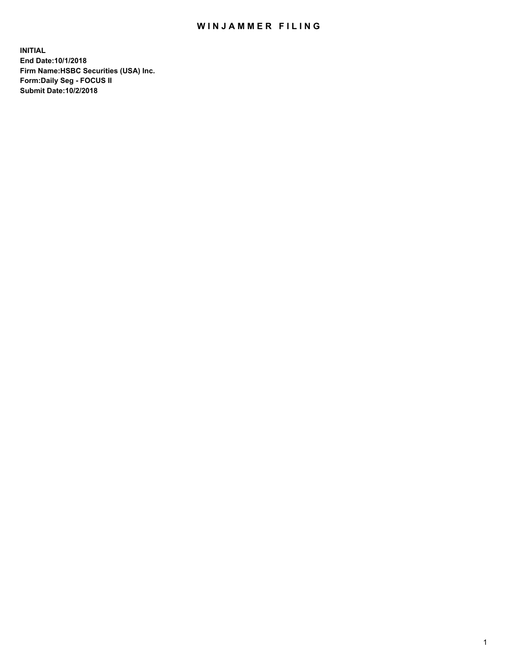## WIN JAMMER FILING

**INITIAL End Date:10/1/2018 Firm Name:HSBC Securities (USA) Inc. Form:Daily Seg - FOCUS II Submit Date:10/2/2018**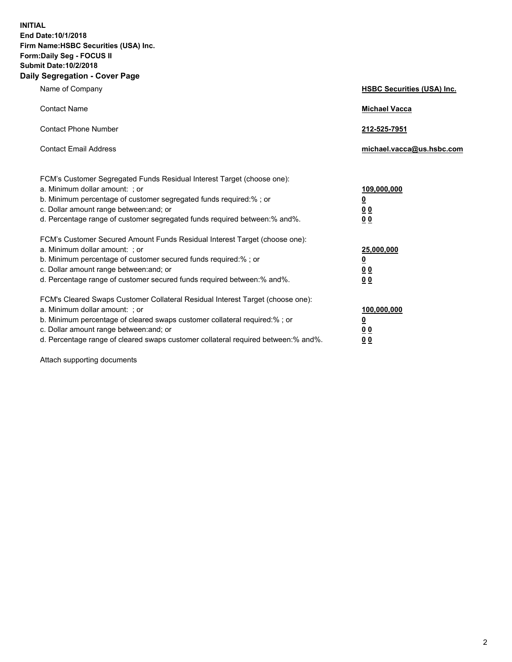**INITIAL End Date:10/1/2018 Firm Name:HSBC Securities (USA) Inc. Form:Daily Seg - FOCUS II Submit Date:10/2/2018 Daily Segregation - Cover Page**

| Name of Company                                                                                                                                                                                                                                                                                                               | <b>HSBC Securities (USA) Inc.</b>                                          |
|-------------------------------------------------------------------------------------------------------------------------------------------------------------------------------------------------------------------------------------------------------------------------------------------------------------------------------|----------------------------------------------------------------------------|
| <b>Contact Name</b>                                                                                                                                                                                                                                                                                                           | <b>Michael Vacca</b>                                                       |
| <b>Contact Phone Number</b>                                                                                                                                                                                                                                                                                                   | 212-525-7951                                                               |
| <b>Contact Email Address</b>                                                                                                                                                                                                                                                                                                  | michael.vacca@us.hsbc.com                                                  |
| FCM's Customer Segregated Funds Residual Interest Target (choose one):<br>a. Minimum dollar amount: ; or<br>b. Minimum percentage of customer segregated funds required:%; or<br>c. Dollar amount range between: and; or<br>d. Percentage range of customer segregated funds required between:% and%.                         | 109,000,000<br>$\overline{\mathbf{0}}$<br>0 <sub>0</sub><br>0 <sub>0</sub> |
| FCM's Customer Secured Amount Funds Residual Interest Target (choose one):<br>a. Minimum dollar amount: ; or<br>b. Minimum percentage of customer secured funds required:%; or<br>c. Dollar amount range between: and; or<br>d. Percentage range of customer secured funds required between:% and%.                           | 25,000,000<br><u>0</u><br>0 <sub>0</sub><br>0 <sub>0</sub>                 |
| FCM's Cleared Swaps Customer Collateral Residual Interest Target (choose one):<br>a. Minimum dollar amount: ; or<br>b. Minimum percentage of cleared swaps customer collateral required:%; or<br>c. Dollar amount range between: and; or<br>d. Percentage range of cleared swaps customer collateral required between:% and%. | 100,000,000<br><u>0</u><br><u>00</u><br>00                                 |

Attach supporting documents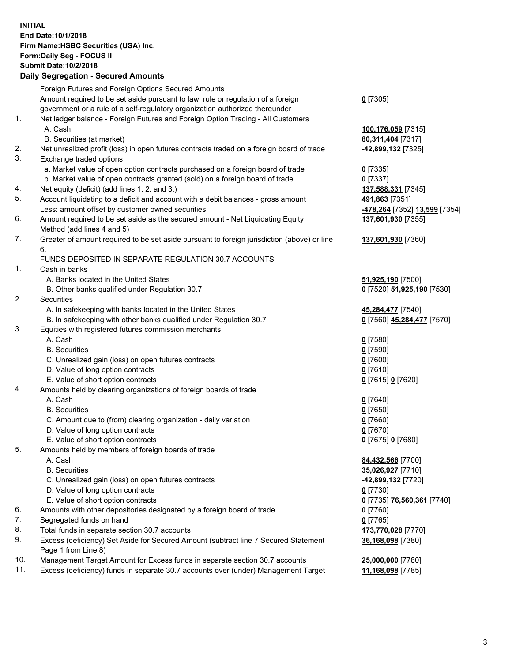**INITIAL End Date:10/1/2018 Firm Name:HSBC Securities (USA) Inc. Form:Daily Seg - FOCUS II Submit Date:10/2/2018 Daily Segregation - Secured Amounts** Foreign Futures and Foreign Options Secured Amounts Amount required to be set aside pursuant to law, rule or regulation of a foreign government or a rule of a self-regulatory organization authorized thereunder 1. Net ledger balance - Foreign Futures and Foreign Option Trading - All Customers A. Cash **100,176,059** [7315] B. Securities (at market) **80,311,404** [7317] 2. Net unrealized profit (loss) in open futures contracts traded on a foreign board of trade **-42,899,132** [7325] 3. Exchange traded options a. Market value of open option contracts purchased on a foreign board of trade **0** [7335]

b. Market value of open contracts granted (sold) on a foreign board of trade **0** [7337]

- 4. Net equity (deficit) (add lines 1. 2. and 3.) **137,588,331** [7345]
- 5. Account liquidating to a deficit and account with a debit balances gross amount **491,863** [7351] Less: amount offset by customer owned securities **-478,264** [7352] **13,599** [7354]
- 6. Amount required to be set aside as the secured amount Net Liquidating Equity Method (add lines 4 and 5)
- 7. Greater of amount required to be set aside pursuant to foreign jurisdiction (above) or line 6.

## FUNDS DEPOSITED IN SEPARATE REGULATION 30.7 ACCOUNTS

1. Cash in banks

- A. Banks located in the United States **51,925,190** [7500]
- B. Other banks qualified under Regulation 30.7 **0** [7520] **51,925,190** [7530]
- 2. Securities
	- A. In safekeeping with banks located in the United States **45,284,477** [7540]
	- B. In safekeeping with other banks qualified under Regulation 30.7 **0** [7560] **45,284,477** [7570]
- 3. Equities with registered futures commission merchants
	- A. Cash **0** [7580]
	- B. Securities **0** [7590]
	- C. Unrealized gain (loss) on open futures contracts **0** [7600]
	- D. Value of long option contracts **0** [7610]
	- E. Value of short option contracts **0** [7615] **0** [7620]
- 4. Amounts held by clearing organizations of foreign boards of trade
	- A. Cash **0** [7640]
	- B. Securities **0** [7650]
	- C. Amount due to (from) clearing organization daily variation **0** [7660]
	- D. Value of long option contracts **0** [7670]
	- E. Value of short option contracts **0** [7675] **0** [7680]
- 5. Amounts held by members of foreign boards of trade
	-
	-
	- C. Unrealized gain (loss) on open futures contracts **-42,899,132** [7720]
	- D. Value of long option contracts **0** [7730]
	- E. Value of short option contracts **0** [7735] **76,560,361** [7740]
- 6. Amounts with other depositories designated by a foreign board of trade **0** [7760]
- 7. Segregated funds on hand **0** [7765]
- 8. Total funds in separate section 30.7 accounts **173,770,028** [7770]
- 9. Excess (deficiency) Set Aside for Secured Amount (subtract line 7 Secured Statement Page 1 from Line 8)
- 10. Management Target Amount for Excess funds in separate section 30.7 accounts **25,000,000** [7780]
- 11. Excess (deficiency) funds in separate 30.7 accounts over (under) Management Target **11,168,098** [7785]
- **0** [7305]
- 
- **137,601,930** [7355]
- **137,601,930** [7360]
- 
- 
- -
- 
- A. Cash **84,432,566** [7700] B. Securities **35,026,927** [7710]
	- **36,168,098** [7380]
	-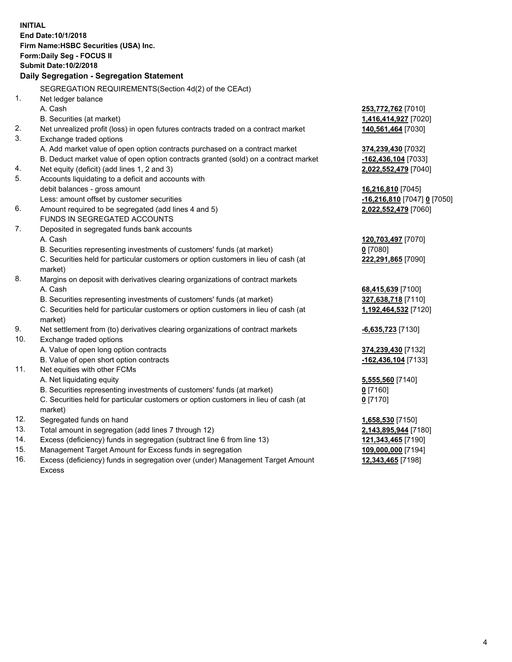|          | <b>INITIAL</b>                                                                             |                                             |
|----------|--------------------------------------------------------------------------------------------|---------------------------------------------|
|          | End Date: 10/1/2018                                                                        |                                             |
|          | Firm Name: HSBC Securities (USA) Inc.                                                      |                                             |
|          | Form: Daily Seg - FOCUS II                                                                 |                                             |
|          | <b>Submit Date: 10/2/2018</b>                                                              |                                             |
|          | Daily Segregation - Segregation Statement                                                  |                                             |
|          | SEGREGATION REQUIREMENTS(Section 4d(2) of the CEAct)                                       |                                             |
| 1.       | Net ledger balance                                                                         |                                             |
|          | A. Cash                                                                                    | 253,772,762 [7010]                          |
|          | B. Securities (at market)                                                                  | 1,416,414,927 [7020]                        |
| 2.       | Net unrealized profit (loss) in open futures contracts traded on a contract market         | 140,561,464 [7030]                          |
| 3.       | Exchange traded options                                                                    |                                             |
|          |                                                                                            |                                             |
|          | A. Add market value of open option contracts purchased on a contract market                | 374,239,430 [7032]                          |
|          | B. Deduct market value of open option contracts granted (sold) on a contract market        | $-162,436,104$ [7033]                       |
| 4.<br>5. | Net equity (deficit) (add lines 1, 2 and 3)                                                | 2,022,552,479 [7040]                        |
|          | Accounts liquidating to a deficit and accounts with                                        |                                             |
|          | debit balances - gross amount                                                              | 16,216,810 [7045]                           |
| 6.       | Less: amount offset by customer securities                                                 | -16,216,810 [7047] 0 [7050]                 |
|          | Amount required to be segregated (add lines 4 and 5)<br>FUNDS IN SEGREGATED ACCOUNTS       | 2,022,552,479 [7060]                        |
| 7.       |                                                                                            |                                             |
|          | Deposited in segregated funds bank accounts                                                |                                             |
|          | A. Cash                                                                                    | 120,703,497 [7070]                          |
|          | B. Securities representing investments of customers' funds (at market)                     | $0$ [7080]                                  |
|          | C. Securities held for particular customers or option customers in lieu of cash (at        | 222,291,865 [7090]                          |
| 8.       | market)                                                                                    |                                             |
|          | Margins on deposit with derivatives clearing organizations of contract markets<br>A. Cash  |                                             |
|          | B. Securities representing investments of customers' funds (at market)                     | 68,415,639 [7100]                           |
|          |                                                                                            | 327,638,718 [7110]                          |
|          | C. Securities held for particular customers or option customers in lieu of cash (at        | 1,192,464,532 [7120]                        |
| 9.       | market)<br>Net settlement from (to) derivatives clearing organizations of contract markets |                                             |
| 10.      | Exchange traded options                                                                    | <b>6,635,723</b> [7130]                     |
|          | A. Value of open long option contracts                                                     |                                             |
|          | B. Value of open short option contracts                                                    | 374,239,430 [7132]<br>$-162,436,104$ [7133] |
| 11.      | Net equities with other FCMs                                                               |                                             |
|          | A. Net liquidating equity                                                                  |                                             |
|          | B. Securities representing investments of customers' funds (at market)                     | 5,555,560 [7140]<br>$0$ [7160]              |
|          | C. Securities held for particular customers or option customers in lieu of cash (at        | $0$ [7170]                                  |
|          | market)                                                                                    |                                             |
| 12.      | Segregated funds on hand                                                                   | 1,658,530 [7150]                            |
| 13.      | Total amount in segregation (add lines 7 through 12)                                       | 2,143,895,944 [7180]                        |
| 14.      | Excess (deficiency) funds in segregation (subtract line 6 from line 13)                    | 121,343,465 [7190]                          |
| 15.      | Management Target Amount for Excess funds in segregation                                   | 109,000,000 [7194]                          |
| 16.      | Excess (deficiency) funds in segregation over (under) Management Target Amount             | 12,343,465 [7198]                           |
|          |                                                                                            |                                             |

Excess